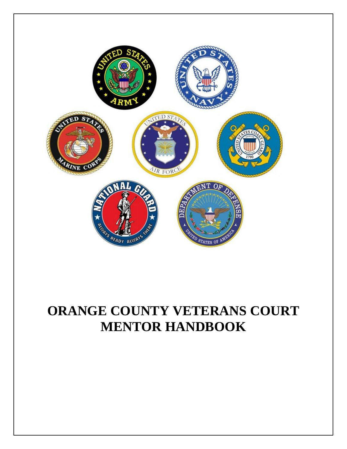

# **ORANGE COUNTY VETERANS COURT MENTOR HANDBOOK**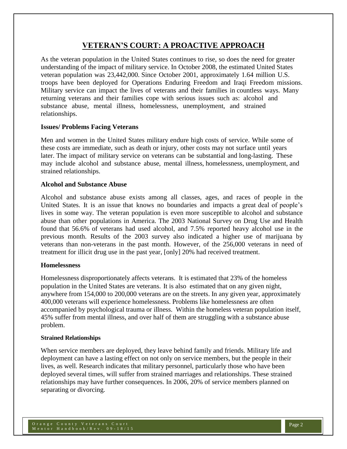# **VETERAN'S COURT: A PROACTIVE APPROACH**

As the veteran population in the United States continues to rise, so does the need for greater understanding of the impact of military service. In October 2008, the estimated United States veteran population was 23,442,000. Since October 2001, approximately 1.64 million U.S. troops have been deployed for Operations Enduring Freedom and Iraqi Freedom missions. Military service can impact the lives of veterans and their families in countless ways. Many returning veterans and their families cope with serious issues such as: alcohol and substance abuse, mental illness, homelessness, unemployment, and strained relationships.

#### **Issues/ Problems Facing Veterans**

Men and women in the United States military endure high costs of service. While some of these costs are immediate, such as death or injury, other costs may not surface until years later. The impact of military service on veterans can be substantial and long-lasting. These may include alcohol and substance abuse, mental illness, homelessness, unemployment, and strained relationships.

#### **Alcohol and Substance Abuse**

Alcohol and substance abuse exists among all classes, ages, and races of people in the United States. It is an issue that knows no boundaries and impacts a great deal of people's lives in some way. The veteran population is even more susceptible to alcohol and substance abuse than other populations in America. The 2003 National Survey on Drug Use and Health found that 56.6% of veterans had used alcohol, and 7.5% reported heavy alcohol use in the previous month. Results of the 2003 survey also indicated a higher use of marijuana by veterans than non-veterans in the past month. However, of the 256,000 veterans in need of treatment for illicit drug use in the past year, [only] 20% had received treatment.

#### **Homelessness**

Homelessness disproportionately affects veterans. It is estimated that 23% of the homeless population in the United States are veterans. It is also estimated that on any given night, anywhere from 154,000 to 200,000 veterans are on the streets. In any given year, approximately 400,000 veterans will experience homelessness. Problems like homelessness are often accompanied by psychological trauma or illness. Within the homeless veteran population itself, 45% suffer from mental illness, and over half of them are struggling with a substance abuse problem.

#### **Strained Relationships**

When service members are deployed, they leave behind family and friends. Military life and deployment can have a lasting effect on not only on service members, but the people in their lives, as well. Research indicates that military personnel, particularly those who have been deployed several times, will suffer from strained marriages and relationships. These strained relationships may have further consequences. In 2006, 20% of service members planned on separating or divorcing.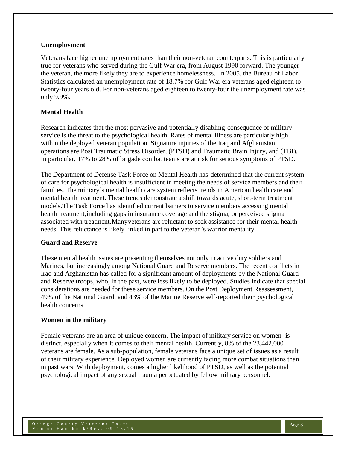#### **Unemployment**

Veterans face higher unemployment rates than their non-veteran counterparts. This is particularly true for veterans who served during the Gulf War era, from August 1990 forward. The younger the veteran, the more likely they are to experience homelessness. In 2005, the Bureau of Labor Statistics calculated an unemployment rate of 18.7% for Gulf War era veterans aged eighteen to twenty-four years old. For non-veterans aged eighteen to twenty-four the unemployment rate was only 9.9%.

## **Mental Health**

Research indicates that the most pervasive and potentially disabling consequence of military service is the threat to the psychological health. Rates of mental illness are particularly high within the deployed veteran population. Signature injuries of the Iraq and Afghanistan operations are Post Traumatic Stress Disorder, (PTSD) and Traumatic Brain Injury, and (TBI). In particular, 17% to 28% of brigade combat teams are at risk for serious symptoms of PTSD.

The Department of Defense Task Force on Mental Health has determined that the current system of care for psychological health is insufficient in meeting the needs of service members and their families. The military's mental health care system reflects trends in American health care and mental health treatment. These trends demonstrate a shift towards acute, short-term treatment models.The Task Force has identified current barriers to service members accessing mental health treatment, including gaps in insurance coverage and the stigma, or perceived stigma associated with treatment. Many veterans are reluctant to seek assistance for their mental health needs. This reluctance is likely linked in part to the veteran's warrior mentality.

### **Guard and Reserve**

These mental health issues are presenting themselves not only in active duty soldiers and Marines, but increasingly among National Guard and Reserve members. The recent conflicts in Iraq and Afghanistan has called for a significant amount of deployments by the National Guard and Reserve troops, who, in the past, were less likely to be deployed. Studies indicate that special considerations are needed for these service members. On the Post Deployment Reassessment, 49% of the National Guard, and 43% of the Marine Reserve self-reported their psychological health concerns.

### **Women in the military**

Female veterans are an area of unique concern. The impact of military service on women is distinct, especially when it comes to their mental health. Currently, 8% of the 23,442,000 veterans are female. As a sub-population, female veterans face a unique set of issues as a result of their military experience. Deployed women are currently facing more combat situations than in past wars. With deployment, comes a higher likelihood of PTSD, as well as the potential psychological impact of any sexual trauma perpetuated by fellow military personnel.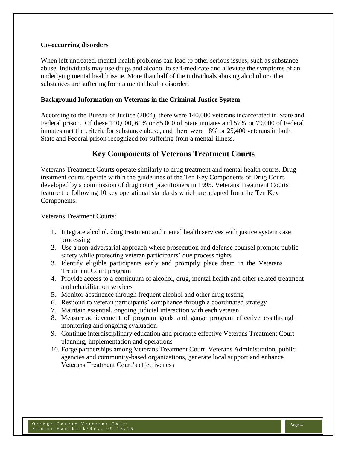### **Co-occurring disorders**

When left untreated, mental health problems can lead to other serious issues, such as substance abuse. Individuals may use drugs and alcohol to self-medicate and alleviate the symptoms of an underlying mental health issue. More than half of the individuals abusing alcohol or other substances are suffering from a mental health disorder.

#### **Background Information on Veterans in the Criminal Justice System**

According to the Bureau of Justice (2004), there were 140,000 veterans incarcerated in State and Federal prison. Of these 140,000, 61% or 85,000 of State inmates and 57% or 79,000 of Federal inmates met the criteria for substance abuse, and there were 18% or 25,400 veterans in both State and Federal prison recognized for suffering from a mental illness.

# **Key Components of Veterans Treatment Courts**

Veterans Treatment Courts operate similarly to drug treatment and mental health courts. Drug treatment courts operate within the guidelines of the Ten Key Components of Drug Court, developed by a commission of drug court practitioners in 1995. Veterans Treatment Courts feature the following 10 key operational standards which are adapted from the Ten Key Components.

Veterans Treatment Courts:

- 1. Integrate alcohol, drug treatment and mental health services with justice system case processing
- 2. Use a non-adversarial approach where prosecution and defense counsel promote public safety while protecting veteran participants' due process rights
- 3. Identify eligible participants early and promptly place them in the Veterans Treatment Court program
- 4. Provide access to a continuum of alcohol, drug, mental health and other related treatment and rehabilitation services
- 5. Monitor abstinence through frequent alcohol and other drug testing
- 6. Respond to veteran participants' compliance through a coordinated strategy
- 7. Maintain essential, ongoing judicial interaction with each veteran
- 8. Measure achievement of program goals and gauge program effectiveness through monitoring and ongoing evaluation
- 9. Continue interdisciplinary education and promote effective Veterans Treatment Court planning, implementation and operations
- 10. Forge partnerships among Veterans Treatment Court, Veterans Administration, public agencies and community-based organizations, generate local support and enhance Veterans Treatment Court's effectiveness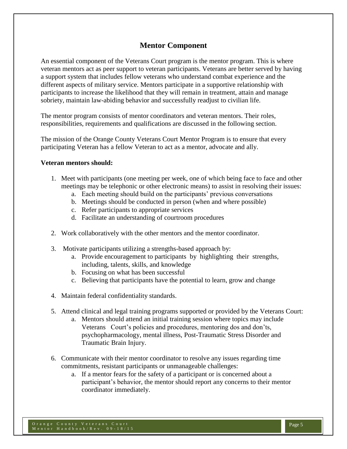# **Mentor Component**

An essential component of the Veterans Court program is the mentor program. This is where veteran mentors act as peer support to veteran participants. Veterans are better served by having a support system that includes fellow veterans who understand combat experience and the different aspects of military service. Mentors participate in a supportive relationship with participants to increase the likelihood that they will remain in treatment, attain and manage sobriety, maintain law-abiding behavior and successfully readjust to civilian life.

The mentor program consists of mentor coordinators and veteran mentors. Their roles, responsibilities, requirements and qualifications are discussed in the following section.

The mission of the Orange County Veterans Court Mentor Program is to ensure that every participating Veteran has a fellow Veteran to act as a mentor, advocate and ally.

#### **Veteran mentors should:**

- 1. Meet with participants (one meeting per week, one of which being face to face and other meetings may be telephonic or other electronic means) to assist in resolving their issues:
	- a. Each meeting should build on the participants' previous conversations
	- b. Meetings should be conducted in person (when and where possible)
	- c. Refer participants to appropriate services
	- d. Facilitate an understanding of courtroom procedures
- 2. Work collaboratively with the other mentors and the mentor coordinator.
- 3. Motivate participants utilizing a strengths-based approach by:
	- a. Provide encouragement to participants by highlighting their strengths, including, talents, skills, and knowledge
	- b. Focusing on what has been successful
	- c. Believing that participants have the potential to learn, grow and change
- 4. Maintain federal confidentiality standards.
- 5. Attend clinical and legal training programs supported or provided by the Veterans Court:
	- a. Mentors should attend an initial training session where topics may include Veterans Court's policies and procedures, mentoring dos and don'ts, psychopharmacology, mental illness, Post-Traumatic Stress Disorder and Traumatic Brain Injury.
- 6. Communicate with their mentor coordinator to resolve any issues regarding time commitments, resistant participants or unmanageable challenges:
	- a. If a mentor fears for the safety of a participant or is concerned about a participant's behavior, the mentor should report any concerns to their mentor coordinator immediately.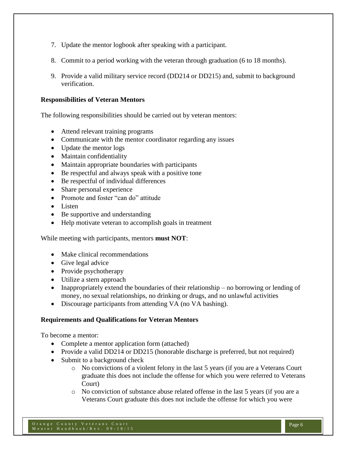- 7. Update the mentor logbook after speaking with a participant.
- 8. Commit to a period working with the veteran through graduation (6 to 18 months).
- 9. Provide a valid military service record (DD214 or DD215) and, submit to background verification.

### **Responsibilities of Veteran Mentors**

The following responsibilities should be carried out by veteran mentors:

- Attend relevant training programs
- Communicate with the mentor coordinator regarding any issues
- Update the mentor logs
- Maintain confidentiality
- Maintain appropriate boundaries with participants
- Be respectful and always speak with a positive tone
- Be respectful of individual differences
- Share personal experience
- Promote and foster "can do" attitude
- Listen
- Be supportive and understanding
- Help motivate veteran to accomplish goals in treatment

While meeting with participants, mentors **must NOT**:

- Make clinical recommendations
- Give legal advice
- Provide psychotherapy
- Utilize a stern approach
- Inappropriately extend the boundaries of their relationship no borrowing or lending of money, no sexual relationships, no drinking or drugs, and no unlawful activities
- Discourage participants from attending VA (no VA bashing).

#### **Requirements and Qualifications for Veteran Mentors**

To become a mentor:

- Complete a mentor application form (attached)
- Provide a valid DD214 or DD215 (honorable discharge is preferred, but not required)
- Submit to a background check
	- o No convictions of a violent felony in the last 5 years (if you are a Veterans Court graduate this does not include the offense for which you were referred to Veterans Court)
	- o No conviction of substance abuse related offense in the last 5 years (if you are a Veterans Court graduate this does not include the offense for which you were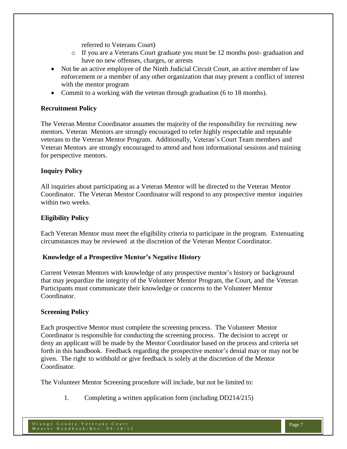referred to Veterans Court)

- o If you are a Veterans Court graduate you must be 12 months post- graduation and have no new offenses, charges, or arrests
- Not be an active employee of the Ninth Judicial Circuit Court, an active member of law enforcement or a member of any other organization that may present a conflict of interest with the mentor program
- Commit to a working with the veteran through graduation (6 to 18 months).

## **Recruitment Policy**

The Veteran Mentor Coordinator assumes the majority of the responsibility for recruiting new mentors. Veteran Mentors are strongly encouraged to refer highly respectable and reputable veterans to the Veteran Mentor Program. Additionally, Veteran's Court Team members and Veteran Mentors are strongly encouraged to attend and host informational sessions and training for perspective mentors.

### **Inquiry Policy**

All inquiries about participating as a Veteran Mentor will be directed to the Veteran Mentor Coordinator. The Veteran Mentor Coordinator will respond to any prospective mentor inquiries within two weeks.

# **Eligibility Policy**

Each Veteran Mentor must meet the eligibility criteria to participate in the program. Extenuating circumstances may be reviewed at the discretion of the Veteran Mentor Coordinator.

### **Knowledge of a Prospective Mentor's Negative History**

Current Veteran Mentors with knowledge of any prospective mentor's history or background that may jeopardize the integrity of the Volunteer Mentor Program, the Court, and the Veteran Participants must communicate their knowledge or concerns to the Volunteer Mentor Coordinator.

### **Screening Policy**

Each prospective Mentor must complete the screening process. The Volunteer Mentor Coordinator is responsible for conducting the screening process. The decision to accept or deny an applicant will be made by the Mentor Coordinator based on the process and criteria set forth in this handbook. Feedback regarding the prospective mentor's denial may or may not be given. The right to withhold or give feedback is solely at the discretion of the Mentor Coordinator.

The Volunteer Mentor Screening procedure will include, but not be limited to:

1. Completing a written application form (including DD214/215)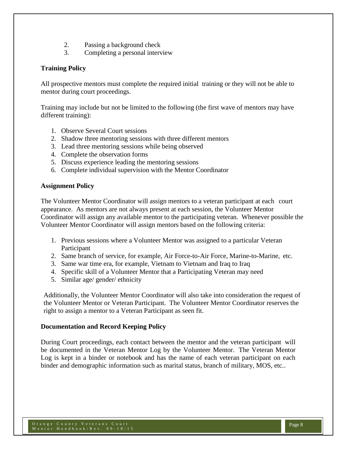- 2. Passing a background check
- 3. Completing a personal interview

## **Training Policy**

All prospective mentors must complete the required initial training or they will not be able to mentor during court proceedings.

Training may include but not be limited to the following (the first wave of mentors may have different training):

- 1. Observe Several Court sessions
- 2. Shadow three mentoring sessions with three different mentors
- 3. Lead three mentoring sessions while being observed
- 4. Complete the observation forms
- 5. Discuss experience leading the mentoring sessions
- 6. Complete individual supervision with the Mentor Coordinator

### **Assignment Policy**

The Volunteer Mentor Coordinator will assign mentors to a veteran participant at each court appearance. As mentors are not always present at each session, the Volunteer Mentor Coordinator will assign any available mentor to the participating veteran. Whenever possible the Volunteer Mentor Coordinator will assign mentors based on the following criteria:

- 1. Previous sessions where a Volunteer Mentor was assigned to a particular Veteran Participant
- 2. Same branch of service, for example, Air Force-to-Air Force, Marine-to-Marine, etc.
- 3. Same war time era, for example, Vietnam to Vietnam and Iraq to Iraq
- 4. Specific skill of a Volunteer Mentor that a Participating Veteran may need
- 5. Similar age/ gender/ ethnicity

Additionally, the Volunteer Mentor Coordinator will also take into consideration the request of the Volunteer Mentor or Veteran Participant. The Volunteer Mentor Coordinator reserves the right to assign a mentor to a Veteran Participant as seen fit.

### **Documentation and Record Keeping Policy**

During Court proceedings, each contact between the mentor and the veteran participant will be documented in the Veteran Mentor Log by the Volunteer Mentor. The Veteran Mentor Log is kept in a binder or notebook and has the name of each veteran participant on each binder and demographic information such as marital status, branch of military, MOS, etc..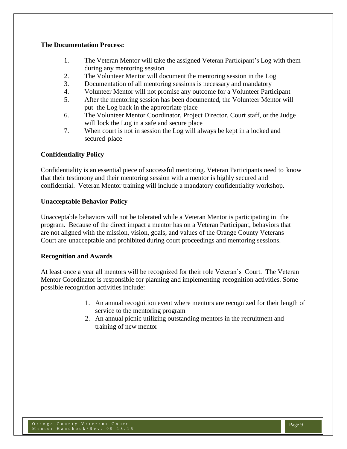#### **The Documentation Process:**

- 1. The Veteran Mentor will take the assigned Veteran Participant's Log with them during any mentoring session
- 2. The Volunteer Mentor will document the mentoring session in the Log
- 3. Documentation of all mentoring sessions is necessary and mandatory
- 4. Volunteer Mentor will not promise any outcome for a Volunteer Participant
- 5. After the mentoring session has been documented, the Volunteer Mentor will put the Log back in the appropriate place
- 6. The Volunteer Mentor Coordinator, Project Director, Court staff, or the Judge will lock the Log in a safe and secure place
- 7. When court is not in session the Log will always be kept in a locked and secured place

### **Confidentiality Policy**

Confidentiality is an essential piece of successful mentoring. Veteran Participants need to know that their testimony and their mentoring session with a mentor is highly secured and confidential. Veteran Mentor training will include a mandatory confidentiality workshop.

### **Unacceptable Behavior Policy**

Unacceptable behaviors will not be tolerated while a Veteran Mentor is participating in the program. Because of the direct impact a mentor has on a Veteran Participant, behaviors that are not aligned with the mission, vision, goals, and values of the Orange County Veterans Court are unacceptable and prohibited during court proceedings and mentoring sessions.

### **Recognition and Awards**

At least once a year all mentors will be recognized for their role Veteran's Court. The Veteran Mentor Coordinator is responsible for planning and implementing recognition activities. Some possible recognition activities include:

- 1. An annual recognition event where mentors are recognized for their length of service to the mentoring program
- 2. An annual picnic utilizing outstanding mentors in the recruitment and training of new mentor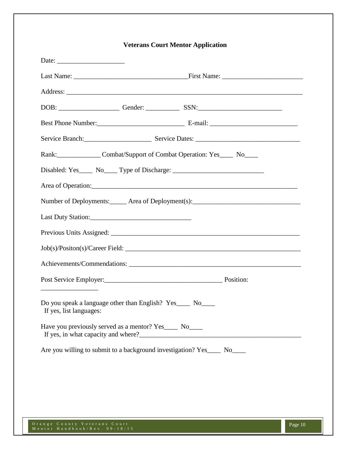| <b>Veterans Court Mentor Application</b>                                              |  |  |  |  |
|---------------------------------------------------------------------------------------|--|--|--|--|
|                                                                                       |  |  |  |  |
|                                                                                       |  |  |  |  |
|                                                                                       |  |  |  |  |
|                                                                                       |  |  |  |  |
|                                                                                       |  |  |  |  |
|                                                                                       |  |  |  |  |
| Rank: Combat/Support of Combat Operation: Yes No                                      |  |  |  |  |
| Disabled: Yes_____ No_____ Type of Discharge: __________________________________      |  |  |  |  |
|                                                                                       |  |  |  |  |
| Number of Deployments: ______ Area of Deployment(s): ____________________________     |  |  |  |  |
|                                                                                       |  |  |  |  |
|                                                                                       |  |  |  |  |
|                                                                                       |  |  |  |  |
|                                                                                       |  |  |  |  |
| Post Service Employer:<br><u>Position:</u> Position:                                  |  |  |  |  |
| Do you speak a language other than English? Yes____ No____<br>If yes, list languages: |  |  |  |  |
| Have you previously served as a mentor? Yes____ No____                                |  |  |  |  |
| Are you willing to submit to a background investigation? Yes_____ No____              |  |  |  |  |

O r a n g e C o u n t y V e t e r a n s C o u r t M e n t o r H a n d b o o k / R e v . 0 9 - 1 8 / 1 5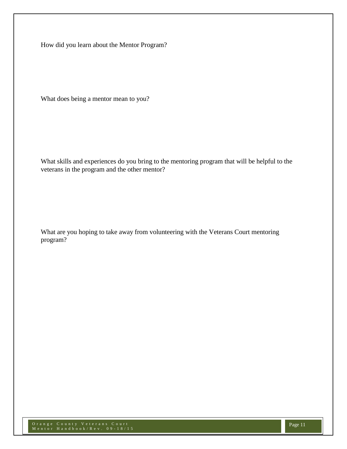How did you learn about the Mentor Program?

What does being a mentor mean to you?

What skills and experiences do you bring to the mentoring program that will be helpful to the veterans in the program and the other mentor?

What are you hoping to take away from volunteering with the Veterans Court mentoring program?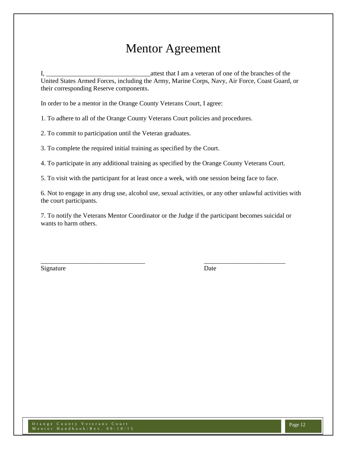# Mentor Agreement

I, the same is a structure of the branches of the branches of the branches of the branches of the branches of the branches of the structure of the branches of the structure of the branches of the structure of the structure United States Armed Forces, including the Army, Marine Corps, Navy, Air Force, Coast Guard, or their corresponding Reserve components.

In order to be a mentor in the Orange County Veterans Court, I agree:

1. To adhere to all of the Orange County Veterans Court policies and procedures.

2. To commit to participation until the Veteran graduates.

3. To complete the required initial training as specified by the Court.

4. To participate in any additional training as specified by the Orange County Veterans Court.

5. To visit with the participant for at least once a week, with one session being face to face.

6. Not to engage in any drug use, alcohol use, sexual activities, or any other unlawful activities with the court participants.

7. To notify the Veterans Mentor Coordinator or the Judge if the participant becomes suicidal or wants to harm others.

\_\_\_\_\_\_\_\_\_\_\_\_\_\_\_\_\_\_\_\_\_\_\_\_\_\_\_\_\_\_\_\_ \_\_\_\_\_\_\_\_\_\_\_\_\_\_\_\_\_\_\_\_\_\_\_\_\_

Signature Date